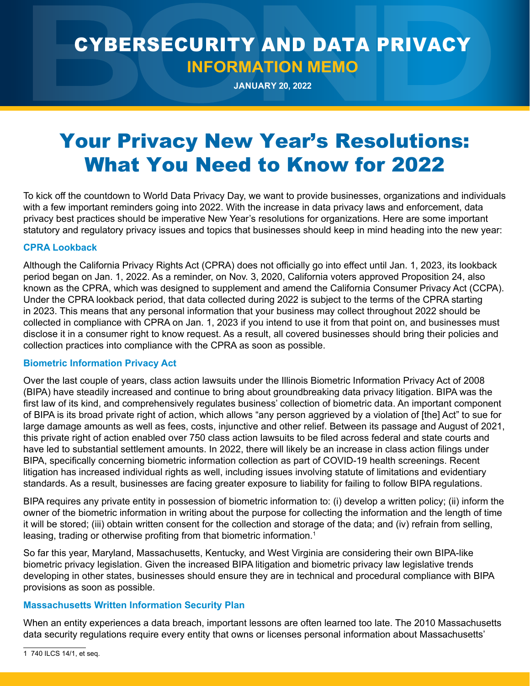## CYBERSECURITY AND DATA PRIVACY **INFORMATION MEMO**

**JANUARY 20, 2022**

# Your Privacy New Year's Resolutions: What You Need to Know for 2022

To kick off the countdown to World Data Privacy Day, we want to provide businesses, organizations and individuals with a few important reminders going into 2022. With the increase in data privacy laws and enforcement, data privacy best practices should be imperative New Year's resolutions for organizations. Here are some important statutory and regulatory privacy issues and topics that businesses should keep in mind heading into the new year:

#### **CPRA Lookback**

Although the California Privacy Rights Act (CPRA) does not officially go into effect until Jan. 1, 2023, its lookback period began on Jan. 1, 2022. As a reminder, on Nov. 3, 2020, California voters approved Proposition 24, also known as the CPRA, which was designed to supplement and amend the California Consumer Privacy Act (CCPA). Under the CPRA lookback period, that data collected during 2022 is subject to the terms of the CPRA starting in 2023. This means that any personal information that your business may collect throughout 2022 should be collected in compliance with CPRA on Jan. 1, 2023 if you intend to use it from that point on, and businesses must disclose it in a consumer right to know request. As a result, all covered businesses should bring their policies and collection practices into compliance with the CPRA as soon as possible.

#### **Biometric Information Privacy Act**

Over the last couple of years, class action lawsuits under the Illinois Biometric Information Privacy Act of 2008 (BIPA) have steadily increased and continue to bring about groundbreaking data privacy litigation. BIPA was the first law of its kind, and comprehensively regulates business' collection of biometric data. An important component of BIPA is its broad private right of action, which allows "any person aggrieved by a violation of [the] Act" to sue for large damage amounts as well as fees, costs, injunctive and other relief. Between its passage and August of 2021, this private right of action enabled over 750 class action lawsuits to be filed across federal and state courts and have led to substantial settlement amounts. In 2022, there will likely be an increase in class action filings under BIPA, specifically concerning biometric information collection as part of COVID-19 health screenings. Recent litigation has increased individual rights as well, including issues involving statute of limitations and evidentiary standards. As a result, businesses are facing greater exposure to liability for failing to follow BIPA regulations.

BIPA requires any private entity in possession of biometric information to: (i) develop a written policy; (ii) inform the owner of the biometric information in writing about the purpose for collecting the information and the length of time it will be stored; (iii) obtain written consent for the collection and storage of the data; and (iv) refrain from selling, leasing, trading or otherwise profiting from that biometric information.<sup>1</sup>

So far this year, Maryland, Massachusetts, Kentucky, and West Virginia are considering their own BIPA-like biometric privacy legislation. Given the increased BIPA litigation and biometric privacy law legislative trends developing in other states, businesses should ensure they are in technical and procedural compliance with BIPA provisions as soon as possible.

### **Massachusetts Written Information Security Plan**

When an entity experiences a data breach, important lessons are often learned too late. The 2010 Massachusetts data security regulations require every entity that owns or licenses personal information about Massachusetts'

1 740 ILCS 14/1, et seq.